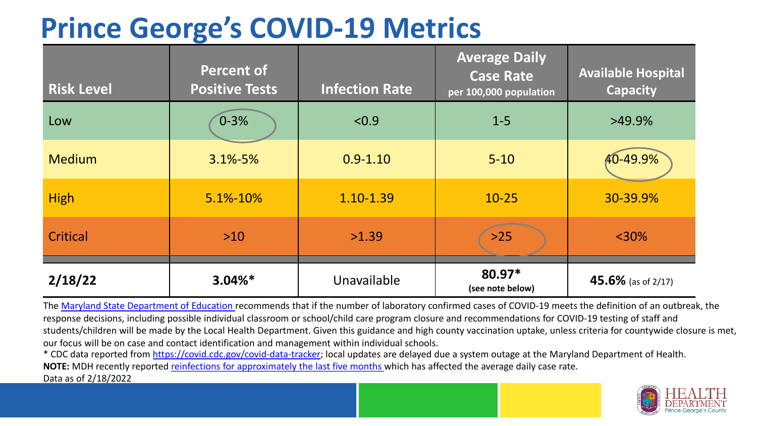## **Prince George's COVID-19 Metrics**

| <b>Risk Level</b> | <b>Percent of</b><br><b>Positive Tests</b> | <b>Infection Rate</b> | <b>Average Daily</b><br><b>Case Rate</b><br>per 100,000 population | <b>Available Hospital</b><br><b>Capacity</b> |
|-------------------|--------------------------------------------|-----------------------|--------------------------------------------------------------------|----------------------------------------------|
| Low               | $0 - 3%$                                   | < 0.9                 | $1 - 5$                                                            | $>49.9\%$                                    |
| <b>Medium</b>     | $3.1\% - 5\%$                              | $0.9 - 1.10$          | $5 - 10$                                                           | 40-49.9%                                     |
| <b>High</b>       | 5.1%-10%                                   | 1.10-1.39             | $10 - 25$                                                          | 30-39.9%                                     |
| <b>Critical</b>   | $>10$                                      | >1.39                 | $>25$                                                              | $<$ 30%                                      |
| 2/18/22           | $3.04\%*$                                  | Unavailable           | $80.97*$<br>(see note below)                                       | 45.6% (as of 2/17)                           |

The [Maryland State Department of Education](https://earlychildhood.marylandpublicschools.org/system/files/filedepot/3/covid_guidance_full_080420.pdf) recommends that if the number of laboratory confirmed cases of COVID-19 meets the definition of an outbreak, the response decisions, including possible individual classroom or school/child care program closure and recommendations for COVID-19 testing of staff and students/children will be made by the Local Health Department. Given this guidance and high county vaccination uptake, unless criteria for countywide closure is met, our focus will be on case and contact identification and management within individual schools.

\* CDC data reported from <https://covid.cdc.gov/covid-data-tracker>; local updates are delayed due a system outage at the Maryland Department of Health. **NOTE:** MDH recently reported [reinfections for approximately the last five months](https://health.maryland.gov/newsroom/Pages/Maryland-Department-of-Health-updates-reinfections-data-among-COVID-19-cases-.aspx) which has affected the average daily case rate.

Data as of 2/18/2022

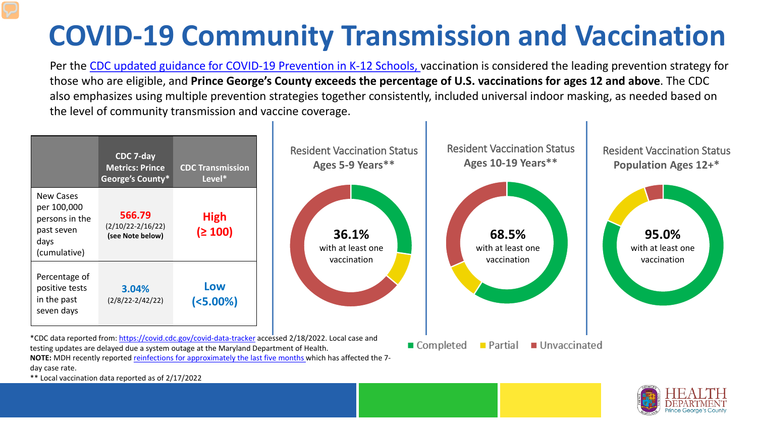## **COVID-19 Community Transmission and Vaccination**

Per the [CDC updated guidance for COVID-19 Prevention in K-12 Schools,](https://www.cdc.gov/coronavirus/2019-ncov/community/schools-childcare/k-12-guidance.html) vaccination is considered the leading prevention strategy for those who are eligible, and **Prince George's County exceeds the percentage of U.S. vaccinations for ages 12 and above**. The CDC also emphasizes using multiple prevention strategies together consistently, included universal indoor masking, as needed based on the level of community transmission and vaccine coverage.



day case rate.

\*\* Local vaccination data reported as of 2/17/2022